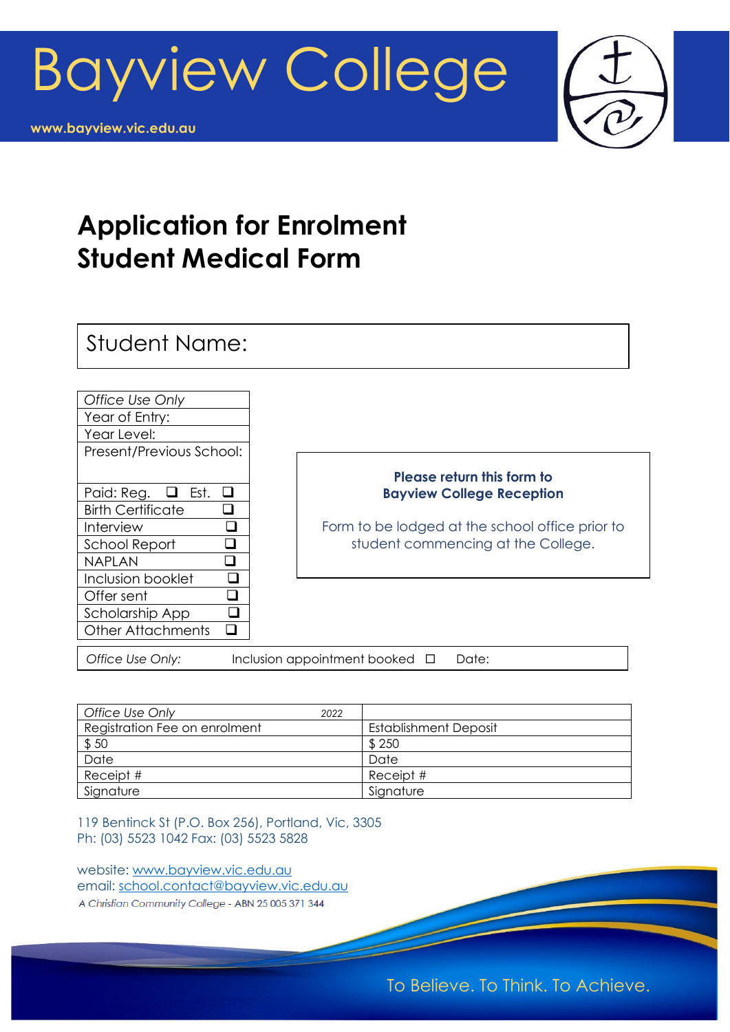



# **Application for Enrolment Student Medical Form**

Student Name:



#### **Please return this form to Bayview College Reception**

Form to be lodged at the school office prior to student commencing at the College.

*Office Use Only:* Inclusion appointment booked □ Date:

| <b>Office Use Only</b>        | 2022 |                              |
|-------------------------------|------|------------------------------|
| Registration Fee on enrolment |      | <b>Establishment Deposit</b> |
| \$50                          |      | \$250                        |
| Date                          |      | Date                         |
| Receipt #                     |      | Receipt #                    |
| Signature                     |      | Signature                    |

119 Bentinck St (P.O. Box 256), Portland, Vic, 3305 Ph: (03) 5523 1042 Fax: (03) 5523 5828

website: [www.bayview.vic.edu.au](http://www.bayview.vic.edu.au/)  email: [school.contact@bayview.vic.edu.au](mailto:school.contact@bayview.vic.edu.au) A Christian Community College - ABN 25 005 371 344

Ī

To Believe. To Think. To Achieve.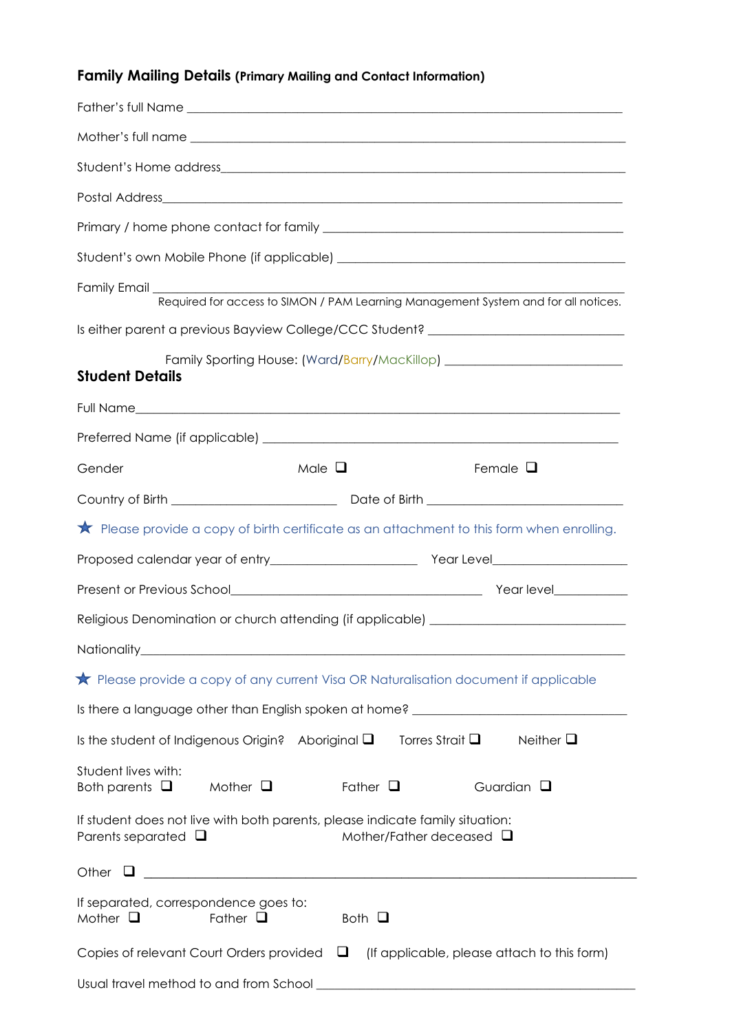# **Family Mailing Details (Primary Mailing and Contact Information)**

| Is either parent a previous Bayview College/CCC Student? _______________________                                                           |
|--------------------------------------------------------------------------------------------------------------------------------------------|
| Family Sporting House: (Ward/Barry/MacKillop) __________________________________                                                           |
| <b>Student Details</b>                                                                                                                     |
|                                                                                                                                            |
|                                                                                                                                            |
| Male $\Box$<br>Female $\Box$<br>Gender                                                                                                     |
|                                                                                                                                            |
| $\bigstar$ Please provide a copy of birth certificate as an attachment to this form when enrolling.                                        |
|                                                                                                                                            |
|                                                                                                                                            |
| Religious Denomination or church attending (if applicable) _____________________                                                           |
|                                                                                                                                            |
| Rease provide a copy of any current Visa OR Naturalisation document if applicable                                                          |
| Is there a language other than English spoken at home? __________________________                                                          |
| Is the student of Indigenous Origin? Aboriginal $\square$<br>Torres Strait $\square$<br>Neither $\square$                                  |
|                                                                                                                                            |
| Student lives with:<br>Both parents $\Box$<br>Mother $\Box$<br>Father $\square$<br>Guardian $\square$                                      |
| If student does not live with both parents, please indicate family situation:<br>Mother/Father deceased $\Box$<br>Parents separated $\Box$ |
| Other<br><u> 1989 - Johann Stein, marwolaethau (b. 1989)</u>                                                                               |
| If separated, correspondence goes to:<br>Father $\square$<br>Both $\Box$<br>Mother $\square$                                               |
| Copies of relevant Court Orders provided $\Box$<br>(If applicable, please attach to this form)                                             |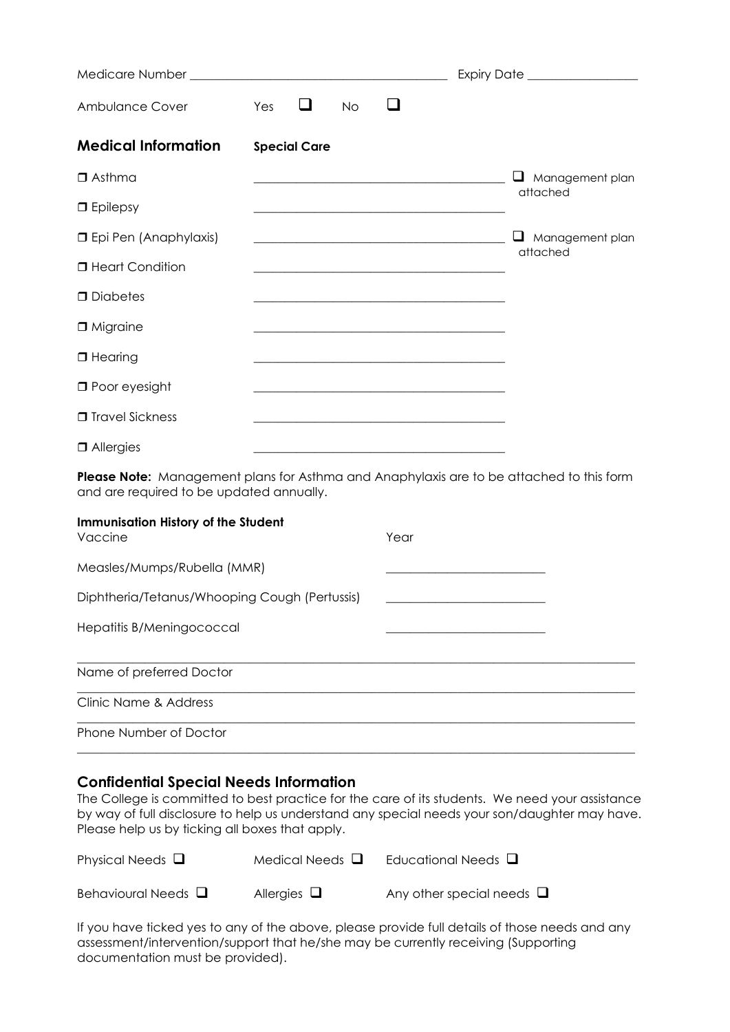|                                |                                                                                                                       | Expiry Date ___________________  |
|--------------------------------|-----------------------------------------------------------------------------------------------------------------------|----------------------------------|
| Ambulance Cover                | ⊔<br>Yes<br><b>No</b>                                                                                                 |                                  |
| <b>Medical Information</b>     | <b>Special Care</b>                                                                                                   |                                  |
| $\Box$ Asthma                  | <u> 1980 - Johann John Stone, mars eta biztanleria (h. 1980).</u>                                                     | ப<br>Management plan<br>attached |
| $\Box$ Epilepsy                |                                                                                                                       |                                  |
| <b>I</b> Epi Pen (Anaphylaxis) | <u> Andreas Andreas Andreas Andreas Andreas Andreas Andreas Andreas Andreas Andreas Andreas Andreas Andreas Andr</u>  | u<br>Management plan             |
| <b>I</b> Heart Condition       |                                                                                                                       | attached                         |
| D Diabetes                     | <u> 1989 - Johann Barn, mars ann an t-Amhain an t-Amhain an t-Amhain an t-Amhain an t-Amhain an t-Amhain an t-Amh</u> |                                  |
| □ Migraine                     |                                                                                                                       |                                  |
| $\Box$ Hearing                 | <u> 1980 - Johann John Stone, mars and de film and de film and de film and de film and de film and de film and de</u> |                                  |
| $\Box$ Poor eyesight           | <u> 1980 - Johann John Stone, mars and de final and de final and de final and de final and de final and de final</u>  |                                  |
| □ Travel Sickness              |                                                                                                                       |                                  |
| $\Box$ Allergies               |                                                                                                                       |                                  |

**Please Note:** Management plans for Asthma and Anaphylaxis are to be attached to this form and are required to be updated annually.

| <b>Immunisation History of the Student</b><br>Vaccine | Year |  |
|-------------------------------------------------------|------|--|
| Measles/Mumps/Rubella (MMR)                           |      |  |
| Diphtheria/Tetanus/Whooping Cough (Pertussis)         |      |  |
| Hepatitis B/Meningococcal                             |      |  |
| Name of preferred Doctor                              |      |  |
| Clinic Name & Address                                 |      |  |
| <b>Phone Number of Doctor</b>                         |      |  |
|                                                       |      |  |

#### **Confidential Special Needs Information**

The College is committed to best practice for the care of its students. We need your assistance by way of full disclosure to help us understand any special needs your son/daughter may have. Please help us by ticking all boxes that apply.

| Physical Needs $\Box$    | Medical Needs $\Box$ | Educational Needs $\Box$       |
|--------------------------|----------------------|--------------------------------|
| Behavioural Needs $\Box$ | Allergies $\Box$     | Any other special needs $\Box$ |

If you have ticked yes to any of the above, please provide full details of those needs and any assessment/intervention/support that he/she may be currently receiving (Supporting documentation must be provided).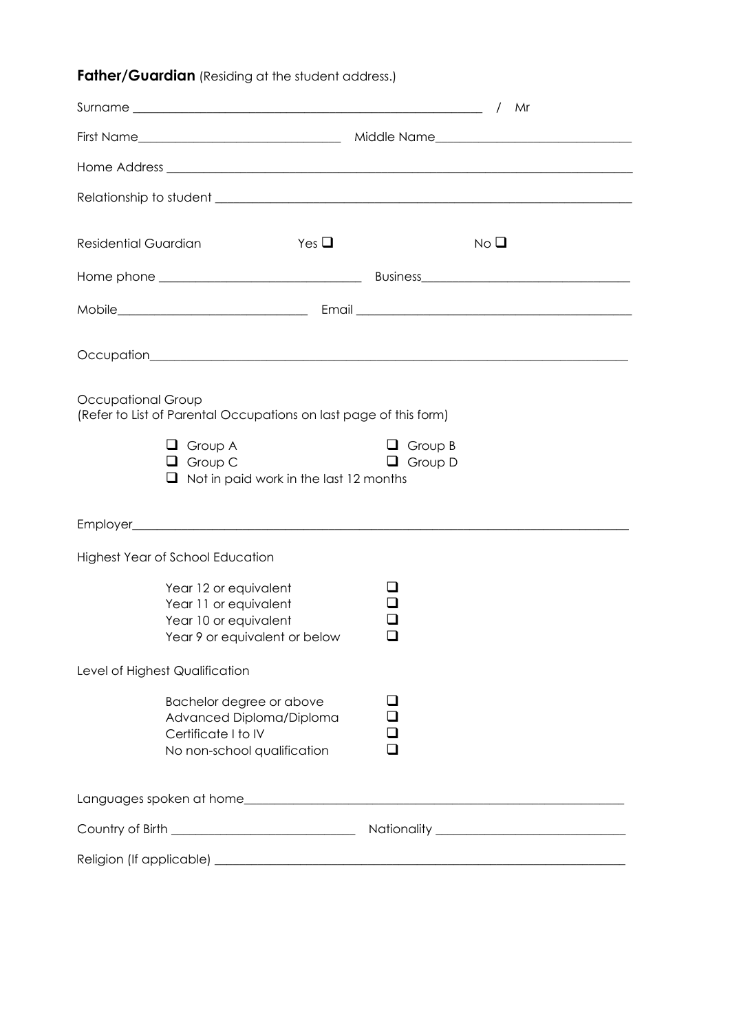# **Father/Guardian** (Residing at the student address.)

|                                                                                                            | Mr<br>$\sqrt{2}$                 |  |
|------------------------------------------------------------------------------------------------------------|----------------------------------|--|
|                                                                                                            |                                  |  |
|                                                                                                            |                                  |  |
|                                                                                                            |                                  |  |
| <b>Residential Guardian</b><br>Yes $\Box$                                                                  | No <sub>Q</sub>                  |  |
|                                                                                                            |                                  |  |
|                                                                                                            |                                  |  |
|                                                                                                            |                                  |  |
| Occupational Group<br>(Refer to List of Parental Occupations on last page of this form)                    |                                  |  |
| $\Box$ Group A<br>$\Box$ Group C<br>$\Box$ Not in paid work in the last 12 months                          | $\Box$ Group B<br>$\Box$ Group D |  |
|                                                                                                            |                                  |  |
| <b>Highest Year of School Education</b>                                                                    |                                  |  |
| Year 12 or equivalent<br>Year 11 or equivalent<br>Year 10 or equivalent<br>Year 9 or equivalent or below   |                                  |  |
| Level of Highest Qualification                                                                             |                                  |  |
| Bachelor degree or above<br>Advanced Diploma/Diploma<br>Certificate I to IV<br>No non-school qualification |                                  |  |
|                                                                                                            |                                  |  |
|                                                                                                            |                                  |  |
|                                                                                                            |                                  |  |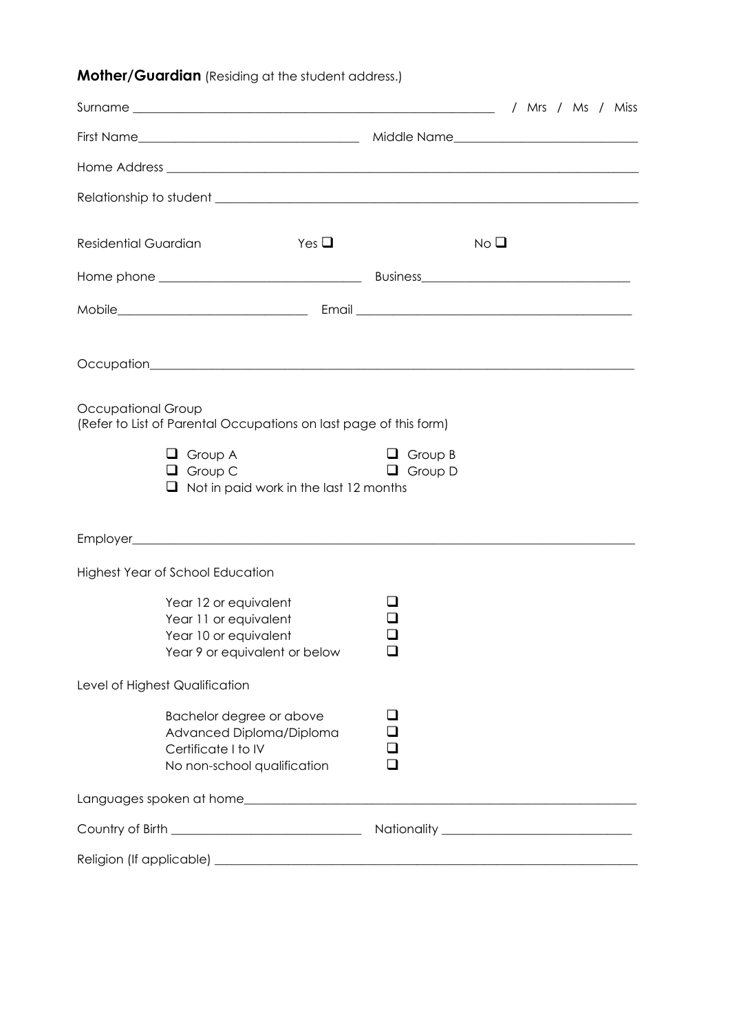# **Mother/Guardian** (Residing at the student address.)

|                                                                                                                                                                              | / Mrs / Ms / Miss                |  |  |
|------------------------------------------------------------------------------------------------------------------------------------------------------------------------------|----------------------------------|--|--|
|                                                                                                                                                                              |                                  |  |  |
|                                                                                                                                                                              |                                  |  |  |
|                                                                                                                                                                              |                                  |  |  |
| Yes $\Box$<br>Residential Guardian                                                                                                                                           | No <sub>Q</sub>                  |  |  |
|                                                                                                                                                                              |                                  |  |  |
|                                                                                                                                                                              |                                  |  |  |
|                                                                                                                                                                              |                                  |  |  |
| Occupational Group<br>(Refer to List of Parental Occupations on last page of this form)<br>$\Box$ Group A<br>$\Box$ Group C<br>$\Box$ Not in paid work in the last 12 months | $\Box$ Group B<br>$\Box$ Group D |  |  |
|                                                                                                                                                                              |                                  |  |  |
| <b>Highest Year of School Education</b>                                                                                                                                      |                                  |  |  |
| Year 12 or equivalent<br>Year 11 or equivalent<br>Year 10 or equivalent<br>Year 9 or equivalent or below                                                                     |                                  |  |  |
| Level of Highest Qualification                                                                                                                                               |                                  |  |  |
| Bachelor degree or above<br>Advanced Diploma/Diploma<br>Certificate I to IV<br>No non-school qualification                                                                   | l 1                              |  |  |
|                                                                                                                                                                              |                                  |  |  |
|                                                                                                                                                                              |                                  |  |  |
|                                                                                                                                                                              |                                  |  |  |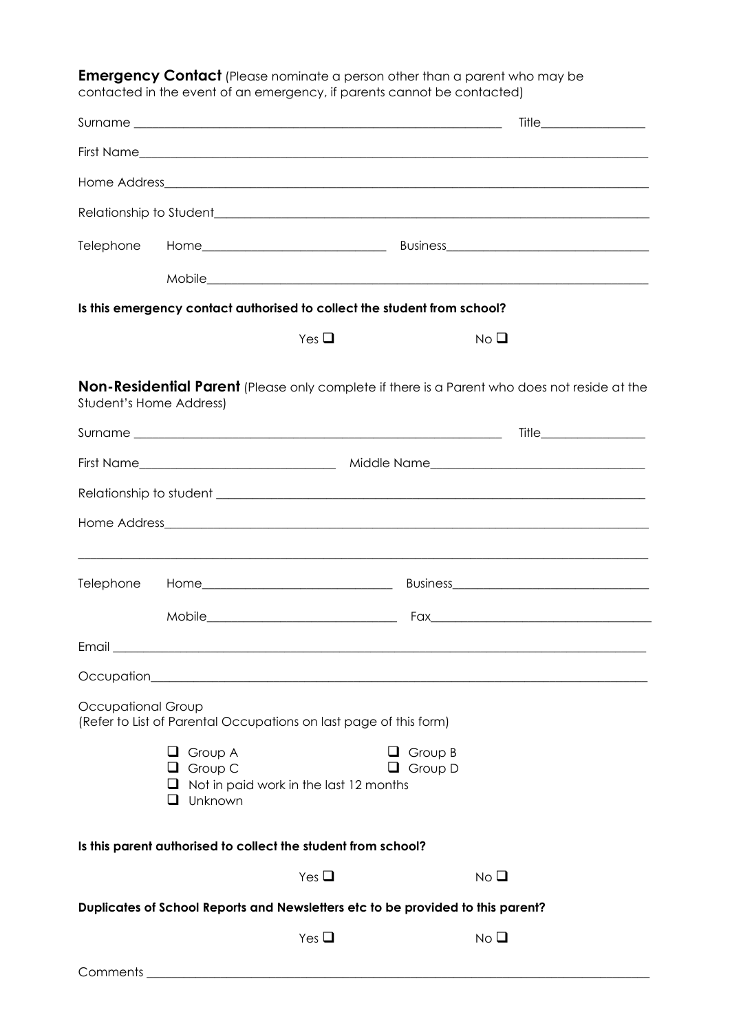**Emergency Contact** (Please nominate a person other than a parent who may be contacted in the event of an emergency, if parents cannot be contacted)

|                    | Is this emergency contact authorised to collect the student from school?                        |               |                                  |                 |                                                                                              |
|--------------------|-------------------------------------------------------------------------------------------------|---------------|----------------------------------|-----------------|----------------------------------------------------------------------------------------------|
|                    |                                                                                                 | Yes $\square$ |                                  | No <sub>Q</sub> |                                                                                              |
|                    | Student's Home Address)                                                                         |               |                                  |                 | Non-Residential Parent (Please only complete if there is a Parent who does not reside at the |
|                    |                                                                                                 |               |                                  |                 |                                                                                              |
|                    |                                                                                                 |               |                                  |                 |                                                                                              |
|                    |                                                                                                 |               |                                  |                 |                                                                                              |
|                    |                                                                                                 |               |                                  |                 |                                                                                              |
| Telephone          |                                                                                                 |               |                                  |                 |                                                                                              |
|                    |                                                                                                 |               |                                  |                 |                                                                                              |
|                    |                                                                                                 |               |                                  |                 |                                                                                              |
| Occupation_        |                                                                                                 |               |                                  |                 |                                                                                              |
| Occupational Group | (Refer to List of Parental Occupations on last page of this form)                               |               |                                  |                 |                                                                                              |
|                    | Group A<br>ப<br>$\Box$ Group C<br>$\Box$ Not in paid work in the last 12 months<br>Unknown<br>ப |               | $\Box$ Group B<br>$\Box$ Group D |                 |                                                                                              |
|                    | Is this parent authorised to collect the student from school?                                   |               |                                  |                 |                                                                                              |
|                    |                                                                                                 | Yes $\square$ |                                  | No <sub>Q</sub> |                                                                                              |
|                    | Duplicates of School Reports and Newsletters etc to be provided to this parent?                 |               |                                  |                 |                                                                                              |
|                    |                                                                                                 | Yes $\Box$    |                                  | No <sub>1</sub> |                                                                                              |
| Comments           |                                                                                                 |               |                                  |                 |                                                                                              |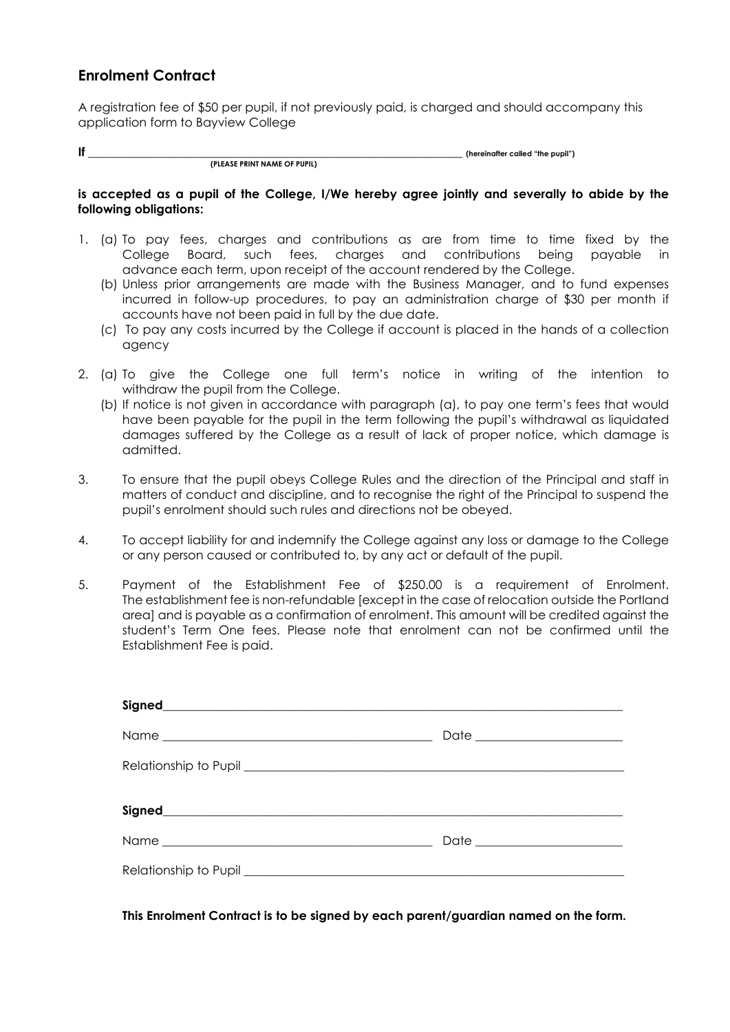## **Enrolment Contract**

A registration fee of \$50 per pupil, if not previously paid, is charged and should accompany this application form to Bayview College

**If \_\_\_\_\_\_\_\_\_\_\_\_\_\_\_\_\_\_\_\_\_\_\_\_\_\_\_\_\_\_\_\_\_\_\_\_\_\_\_\_\_\_\_\_\_\_\_\_\_\_\_\_\_\_\_\_\_\_\_\_\_ (hereinafter called "the pupil") (PLEASE PRINT NAME OF PUPIL)**

#### **is accepted as a pupil of the College, I/We hereby agree jointly and severally to abide by the following obligations:**

- 1. (a) To pay fees, charges and contributions as are from time to time fixed by the College Board, such fees, charges and contributions being payable in advance each term, upon receipt of the account rendered by the College.
	- (b) Unless prior arrangements are made with the Business Manager, and to fund expenses incurred in follow-up procedures, to pay an administration charge of \$30 per month if accounts have not been paid in full by the due date.
	- (c) To pay any costs incurred by the College if account is placed in the hands of a collection agency
- 2. (a) To give the College one full term's notice in writing of the intention to withdraw the pupil from the College.
	- (b) If notice is not given in accordance with paragraph (a), to pay one term's fees that would have been payable for the pupil in the term following the pupil's withdrawal as liquidated damages suffered by the College as a result of lack of proper notice, which damage is admitted.
- 3. To ensure that the pupil obeys College Rules and the direction of the Principal and staff in matters of conduct and discipline, and to recognise the right of the Principal to suspend the pupil's enrolment should such rules and directions not be obeyed.
- 4. To accept liability for and indemnify the College against any loss or damage to the College or any person caused or contributed to, by any act or default of the pupil.
- 5. Payment of the Establishment Fee of \$250.00 is a requirement of Enrolment. The establishment fee is non-refundable [except in the case of relocation outside the Portland area] and is payable as a confirmation of enrolment. This amount will be credited against the student's Term One fees. Please note that enrolment can not be confirmed until the Establishment Fee is paid.

| Date ________________________ |
|-------------------------------|
|                               |
|                               |
|                               |
|                               |

**This Enrolment Contract is to be signed by each parent/guardian named on the form.**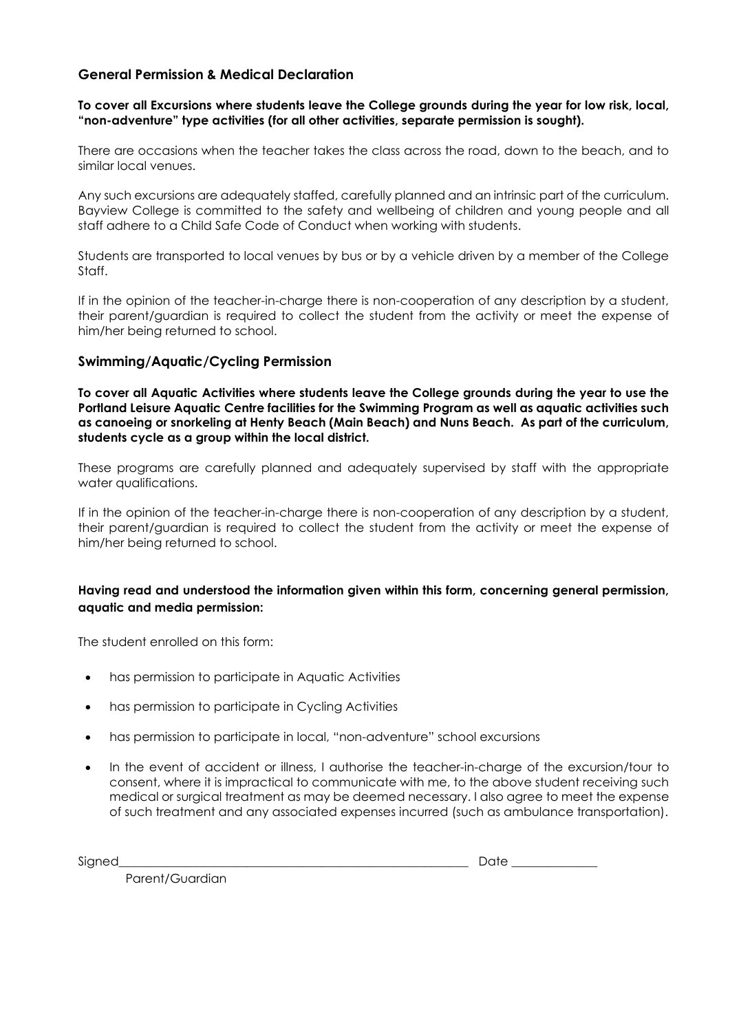### **General Permission & Medical Declaration**

#### **To cover all Excursions where students leave the College grounds during the year for low risk, local, "non-adventure" type activities (for all other activities, separate permission is sought).**

There are occasions when the teacher takes the class across the road, down to the beach, and to similar local venues.

Any such excursions are adequately staffed, carefully planned and an intrinsic part of the curriculum. Bayview College is committed to the safety and wellbeing of children and young people and all staff adhere to a Child Safe Code of Conduct when working with students.

Students are transported to local venues by bus or by a vehicle driven by a member of the College Staff.

If in the opinion of the teacher-in-charge there is non-cooperation of any description by a student, their parent/guardian is required to collect the student from the activity or meet the expense of him/her being returned to school.

#### **Swimming/Aquatic/Cycling Permission**

**To cover all Aquatic Activities where students leave the College grounds during the year to use the Portland Leisure Aquatic Centre facilities for the Swimming Program as well as aquatic activities such as canoeing or snorkeling at Henty Beach (Main Beach) and Nuns Beach. As part of the curriculum, students cycle as a group within the local district.**

These programs are carefully planned and adequately supervised by staff with the appropriate water qualifications.

If in the opinion of the teacher-in-charge there is non-cooperation of any description by a student, their parent/guardian is required to collect the student from the activity or meet the expense of him/her being returned to school.

#### **Having read and understood the information given within this form, concerning general permission, aquatic and media permission:**

The student enrolled on this form:

- has permission to participate in Aquatic Activities
- has permission to participate in Cycling Activities
- has permission to participate in local, "non-adventure" school excursions
- In the event of accident or illness, I authorise the teacher-in-charge of the excursion/tour to consent, where it is impractical to communicate with me, to the above student receiving such medical or surgical treatment as may be deemed necessary. I also agree to meet the expense of such treatment and any associated expenses incurred (such as ambulance transportation).

Signed **Example 20** and the set of the set of the set of the set of the set of the set of the set of the set of the set of the set of the set of the set of the set of the set of the set of the set of the set of the set of

Parent/Guardian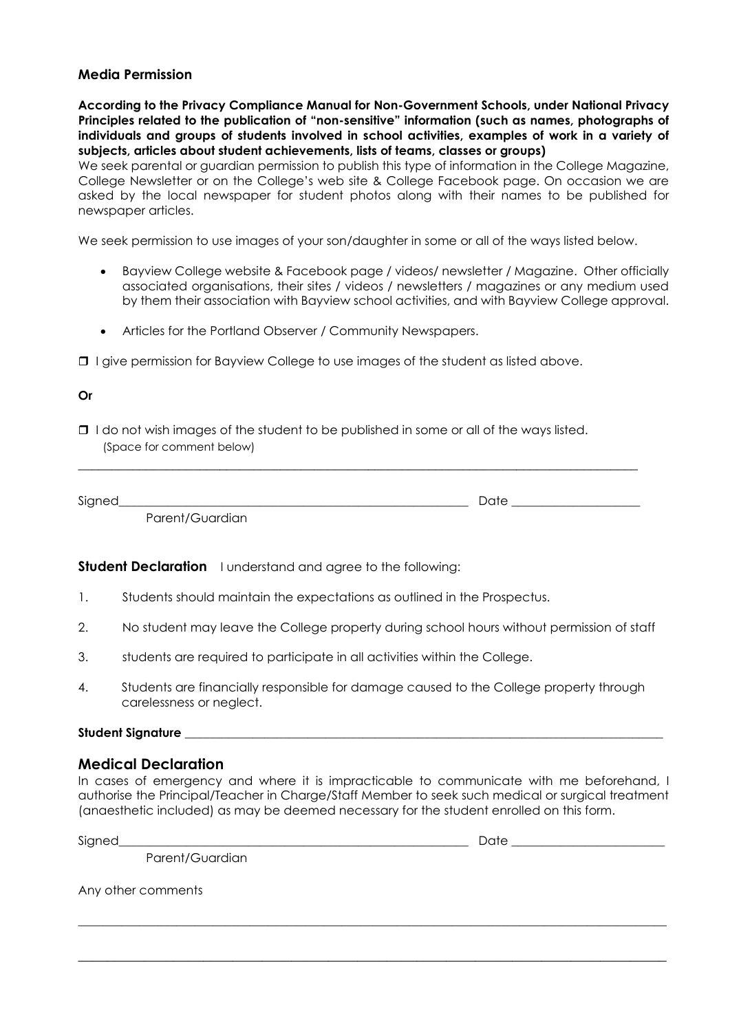#### **Media Permission**

**According to the Privacy Compliance Manual for Non-Government Schools, under National Privacy Principles related to the publication of "non-sensitive" information (such as names, photographs of individuals and groups of students involved in school activities, examples of work in a variety of subjects, articles about student achievements, lists of teams, classes or groups)** 

We seek parental or guardian permission to publish this type of information in the College Magazine, College Newsletter or on the College's web site & College Facebook page. On occasion we are asked by the local newspaper for student photos along with their names to be published for newspaper articles.

We seek permission to use images of your son/daughter in some or all of the ways listed below.

- Bayview College website & Facebook page / videos/ newsletter / Magazine. Other officially associated organisations, their sites / videos / newsletters / magazines or any medium used by them their association with Bayview school activities, and with Bayview College approval.
- Articles for the Portland Observer / Community Newspapers.

 $\Box$  I give permission for Bayview College to use images of the student as listed above.

#### **Or**

 $\Box$  I do not wish images of the student to be published in some or all of the ways listed. (Space for comment below)

| Signed |                                               | Da' |
|--------|-----------------------------------------------|-----|
|        | uardian<br>$P$ arent/G<br>uiui ili uudi ulu i |     |

\_\_\_\_\_\_\_\_\_\_\_\_\_\_\_\_\_\_\_\_\_\_\_\_\_\_\_\_\_\_\_\_\_\_\_\_\_\_\_\_\_\_\_\_\_\_\_\_\_\_\_\_\_\_\_\_\_\_\_\_\_\_\_\_\_\_\_\_\_\_\_\_\_\_\_\_\_\_\_\_\_\_\_

**Student Declaration** I understand and agree to the following:

- 1. Students should maintain the expectations as outlined in the Prospectus.
- 2. No student may leave the College property during school hours without permission of staff
- 3. students are required to participate in all activities within the College.
- 4. Students are financially responsible for damage caused to the College property through carelessness or neglect.

#### **Student Signature** \_\_\_\_\_\_\_\_\_\_\_\_\_\_\_\_\_\_\_\_\_\_\_\_\_\_\_\_\_\_\_\_\_\_\_\_\_\_\_\_\_\_\_\_\_\_\_\_\_\_\_\_\_\_\_\_\_\_\_\_\_\_\_\_\_\_\_\_\_\_\_\_\_\_\_\_\_\_

#### **Medical Declaration**

In cases of emergency and where it is impracticable to communicate with me beforehand, I authorise the Principal/Teacher in Charge/Staff Member to seek such medical or surgical treatment (anaesthetic included) as may be deemed necessary for the student enrolled on this form.

\_\_\_\_\_\_\_\_\_\_\_\_\_\_\_\_\_\_\_\_\_\_\_\_\_\_\_\_\_\_\_\_\_\_\_\_\_\_\_\_\_\_\_\_\_\_\_\_\_\_\_\_\_\_\_\_\_\_\_\_\_\_\_\_\_\_\_\_\_\_\_\_\_\_\_\_\_\_\_\_\_\_\_\_\_\_\_\_\_\_\_\_\_\_\_\_

**\_\_\_\_\_\_\_\_\_\_\_\_\_\_\_\_\_\_\_\_\_\_\_\_\_\_\_\_\_\_\_\_\_\_\_\_\_\_\_\_\_\_\_\_\_\_\_\_\_\_\_\_\_\_\_\_\_\_\_\_\_\_\_\_\_\_\_\_\_\_\_\_\_\_\_\_\_\_\_\_**

Signed the contract of the contract of the contract of the contract of the contract of  $\Box$ 

Parent/Guardian

Any other comments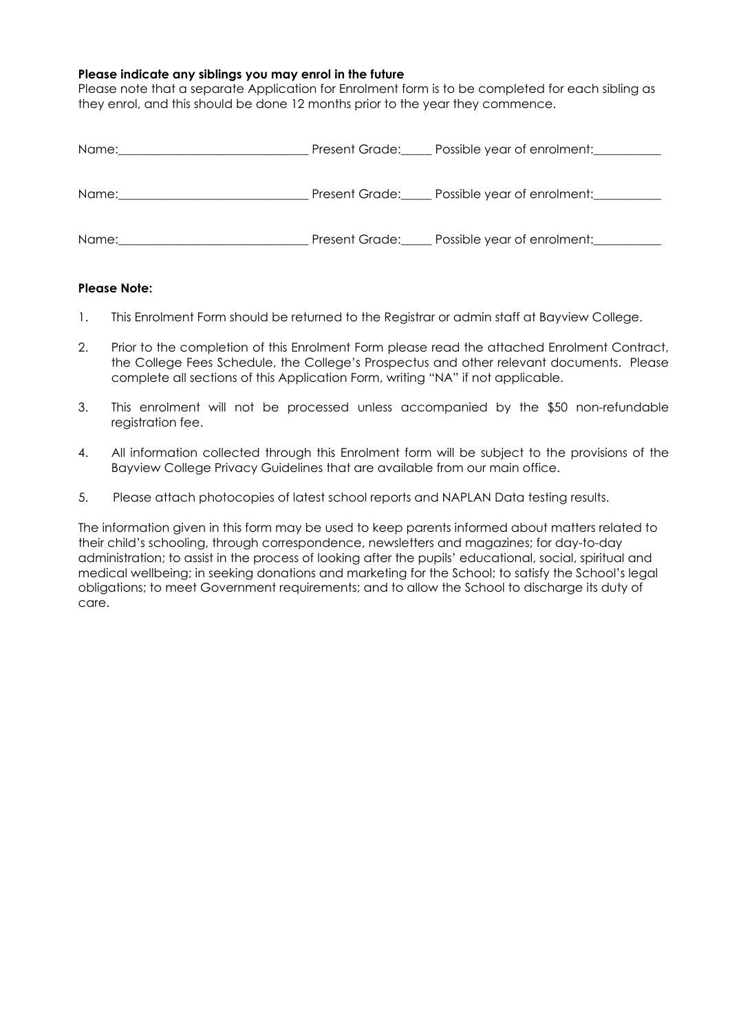#### **Please indicate any siblings you may enrol in the future**

Please note that a separate Application for Enrolment form is to be completed for each sibling as they enrol, and this should be done 12 months prior to the year they commence.

| Name: | Present Grade: Possible year of enrolment: |
|-------|--------------------------------------------|
| Name: | Present Grade: Possible year of enrolment: |
| Name: | Present Grade: Possible year of enrolment: |

#### **Please Note:**

- 1. This Enrolment Form should be returned to the Registrar or admin staff at Bayview College.
- 2. Prior to the completion of this Enrolment Form please read the attached Enrolment Contract, the College Fees Schedule, the College's Prospectus and other relevant documents. Please complete all sections of this Application Form, writing "NA" if not applicable.
- 3. This enrolment will not be processed unless accompanied by the \$50 non-refundable registration fee.
- 4. All information collected through this Enrolment form will be subject to the provisions of the Bayview College Privacy Guidelines that are available from our main office.
- 5. Please attach photocopies of latest school reports and NAPLAN Data testing results.

The information given in this form may be used to keep parents informed about matters related to their child's schooling, through correspondence, newsletters and magazines; for day-to-day administration; to assist in the process of looking after the pupils' educational, social, spiritual and medical wellbeing; in seeking donations and marketing for the School; to satisfy the School's legal obligations; to meet Government requirements; and to allow the School to discharge its duty of care.